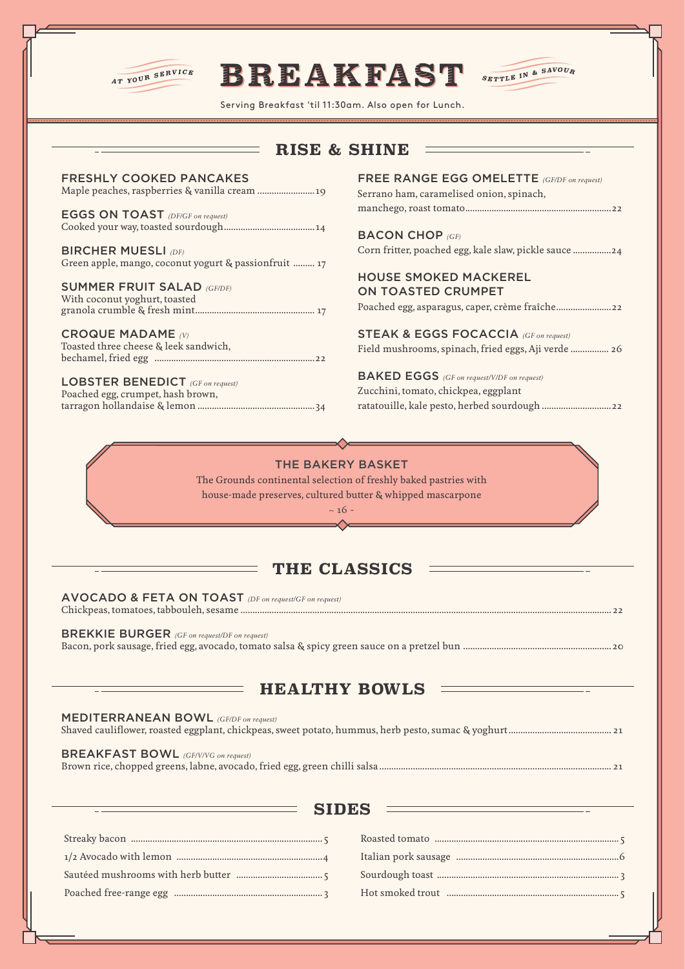

# **BREAKFAST**



Serving Breakfast 'til 11:30am. Also open for Lunch. ............................................................................................................................... ............................................................ .....................................................................................................

## **RISE & SHINE**

| <b>FRESHLY COOKED PANCAKES</b> |
|--------------------------------|
|                                |

EGGS ON TOAST *(DF/GF on request)* Cooked your way, toasted sourdough......................................14

BIRCHER MUESLI *(DF)* Green apple, mango, coconut yogurt & passionfruit ......... 17

#### SUMMER FRUIT SALAD *(GF/DF)*

With coconut yoghurt, toasted granola crumble & fresh mint.................................................. 17

CROQUE MADAME *(V)* Toasted three cheese & leek sandwich, bechamel, fried egg ...................................................................22

LOBSTER BENEDICT *(GF on request)* Poached egg, crumpet, hash brown, tarragon hollandaise & lemon .................................................34

### FREE RANGE EGG OMELETTE *(GF/DF on request)* Serrano ham, caramelised onion, spinach, manchego, roast tomato.............................................................22

BACON CHOP *(GF)* Corn fritter, poached egg, kale slaw, pickle sauce ................24

#### HOUSE SMOKED MACKEREL ON TOASTED CRUMPET

Poached egg, asparagus, caper, crème fraîche.......................22

STEAK & EGGS FOCACCIA *(GF on request)* Field mushrooms, spinach, fried eggs, Aji verde ................ 26

BAKED EGGS *(GF on request/V/DF on request)* Zucchini, tomato, chickpea, eggplant ratatouille, kale pesto, herbed sourdough .............................22

## THE BAKERY BASKET

The Grounds continental selection of freshly baked pastries with house-made preserves, cultured butter & whipped mascarpone

> $~16~$  $\triangle$

## **THE CLASSICS**

AVOCADO & FETA ON TOAST *(DF on request/GF on request)* Chickpeas, tomatoes, tabbouleh, sesame ........................................................................................................................................................... 22

BREKKIE BURGER *(GF on request/DF on request)* Bacon, pork sausage, fried egg, avocado, tomato salsa & spicy green sauce on a pretzel bun ..............................................................20

# **HEALTHY BOWLS**

#### MEDITERRANEAN BOWL *(GF/DF on request)*

Shaved cauliflower, roasted eggplant, chickpeas, sweet potato, hummus, herb pesto, sumac & yoghurt........................................... 21

BREAKFAST BOWL *(GF/V/VG on request)*

Brown rice, chopped greens, labne, avocado, fried egg, green chilli salsa ................................................................................................. 21

## **SIDES**